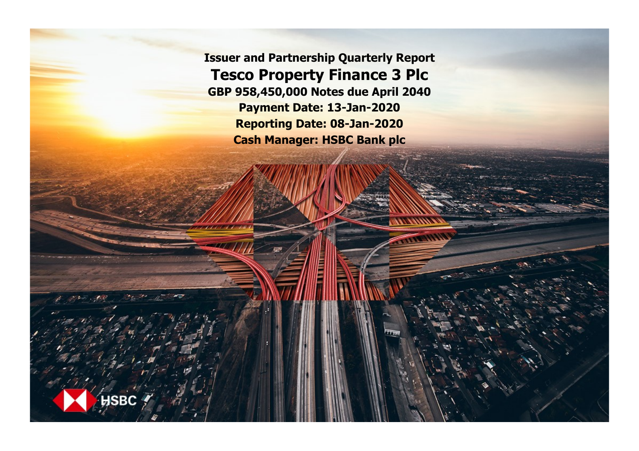**Issuer and Partnership Quarterly Report Tesco Property Finance 3 Plc GBP 958,450,000 Notes due April 2040 Payment Date: 13-Jan-2020 Reporting Date: 08-Jan-2020 Cash Manager: HSBC Bank plc**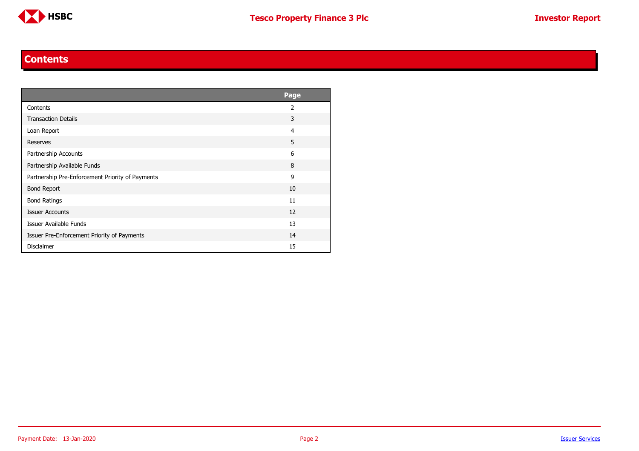

### **Contents**

<span id="page-1-0"></span>

|                                                  | <b>Page</b>    |
|--------------------------------------------------|----------------|
| Contents                                         | $\overline{2}$ |
| <b>Transaction Details</b>                       | 3              |
| Loan Report                                      | 4              |
| Reserves                                         | 5              |
| Partnership Accounts                             | 6              |
| Partnership Available Funds                      | 8              |
| Partnership Pre-Enforcement Priority of Payments | 9              |
| <b>Bond Report</b>                               | 10             |
| <b>Bond Ratings</b>                              | 11             |
| <b>Issuer Accounts</b>                           | 12             |
| Issuer Available Funds                           | 13             |
| Issuer Pre-Enforcement Priority of Payments      | 14             |
| <b>Disclaimer</b>                                | 15             |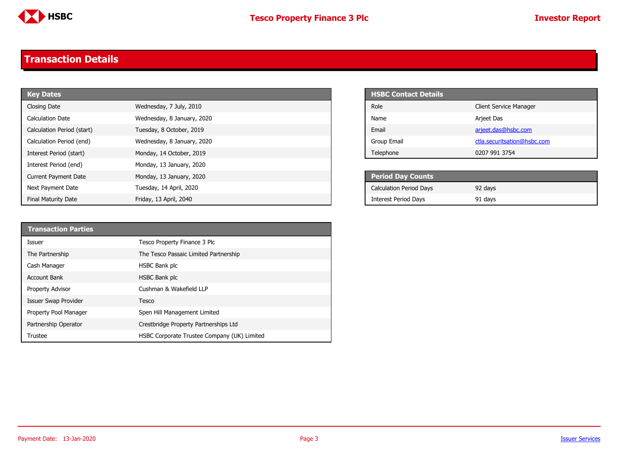

# <span id="page-2-0"></span>**Transaction Details**

| <b>Key Dates</b>            |                            | <b>HSBC Contact Details</b>    |
|-----------------------------|----------------------------|--------------------------------|
| Closing Date                | Wednesday, 7 July, 2010    | Role                           |
| Calculation Date            | Wednesday, 8 January, 2020 | Name                           |
| Calculation Period (start)  | Tuesday, 8 October, 2019   | Email                          |
| Calculation Period (end)    | Wednesday, 8 January, 2020 | Group Email                    |
| Interest Period (start)     | Monday, 14 October, 2019   | Telephone                      |
| Interest Period (end)       | Monday, 13 January, 2020   |                                |
| <b>Current Payment Date</b> | Monday, 13 January, 2020   | <b>Period Day Counts</b>       |
| Next Payment Date           | Tuesday, 14 April, 2020    | <b>Calculation Period Days</b> |
| <b>Final Maturity Date</b>  | Friday, 13 April, 2040     | <b>Interest Period Days</b>    |

| <b>HSBC Contact Details</b> |                               |
|-----------------------------|-------------------------------|
| Role                        | <b>Client Service Manager</b> |
| Name                        | Arjeet Das                    |
| Fmail                       | arjeet.das@hsbc.com           |
| Group Email                 | ctla.securitsation@hsbc.com   |
| Telephone                   | 0207 991 3754                 |

| <b>Period Day Counts</b>       |         |  |
|--------------------------------|---------|--|
| <b>Calculation Period Days</b> | 92 days |  |
| <b>Interest Period Days</b>    | 91 days |  |

| <b>Transaction Parties</b> |                                             |
|----------------------------|---------------------------------------------|
| Issuer                     | Tesco Property Finance 3 Plc                |
| The Partnership            | The Tesco Passaic Limited Partnership       |
| Cash Manager               | HSBC Bank plc                               |
| <b>Account Bank</b>        | HSBC Bank plc                               |
| <b>Property Advisor</b>    | Cushman & Wakefield LLP                     |
| Issuer Swap Provider       | Tesco                                       |
| Property Pool Manager      | Spen Hill Management Limited                |
| Partnership Operator       | Crestbridge Property Partnerships Ltd       |
| Trustee                    | HSBC Corporate Trustee Company (UK) Limited |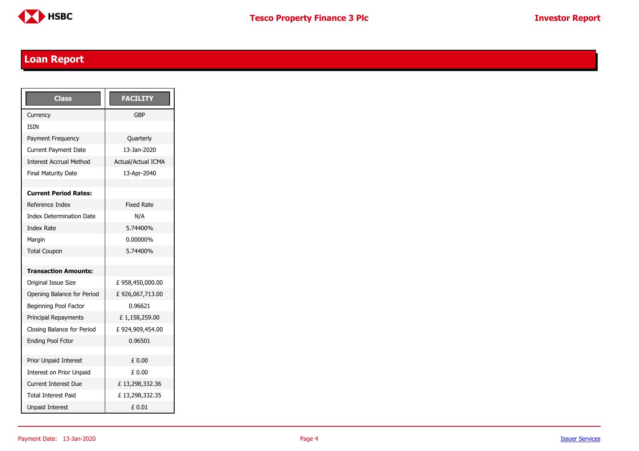

### <span id="page-3-0"></span>**Loan Report**

| <b>Class</b>                    | <b>FACILITY</b>           |
|---------------------------------|---------------------------|
| Currency                        | GBP                       |
| <b>TSTN</b>                     |                           |
| Payment Frequency               | Quarterly                 |
| <b>Current Payment Date</b>     | 13-1an-2020               |
| <b>Interest Accrual Method</b>  | <b>Actual/Actual ICMA</b> |
| <b>Final Maturity Date</b>      | 13-Apr-2040               |
|                                 |                           |
| <b>Current Period Rates:</b>    |                           |
| Reference Index                 | <b>Fixed Rate</b>         |
| <b>Index Determination Date</b> | N/A                       |
| <b>Index Rate</b>               | 5.74400%                  |
| Margin                          | 0.00000%                  |
| <b>Total Coupon</b>             | 5.74400%                  |
|                                 |                           |
| <b>Transaction Amounts:</b>     |                           |
| Original Issue Size             | £958,450,000.00           |
| Opening Balance for Period      | £926,067,713.00           |
| Beginning Pool Factor           | 0.96621                   |
| Principal Repayments            | £1,158,259.00             |
| Closing Balance for Period      | £924,909,454.00           |
| <b>Ending Pool Fctor</b>        | 0.96501                   |
|                                 |                           |
| Prior Unpaid Interest           | £ 0.00                    |
| Interest on Prior Unpaid        | £ 0.00                    |
| <b>Current Interest Due</b>     | £13,298,332.36            |
| <b>Total Interest Paid</b>      | £13,298,332.35            |
| <b>Unpaid Interest</b>          | £ 0.01                    |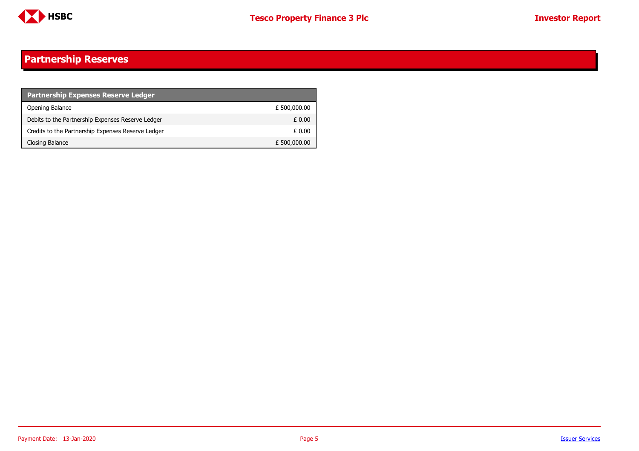

#### <span id="page-4-0"></span>**Partnership Reserves**

| <b>Partnership Expenses Reserve Ledger</b>         |              |
|----------------------------------------------------|--------------|
| Opening Balance                                    | £ 500,000.00 |
| Debits to the Partnership Expenses Reserve Ledger  | £ 0.00       |
| Credits to the Partnership Expenses Reserve Ledger | £ 0.00       |
| Closing Balance                                    | £ 500,000.00 |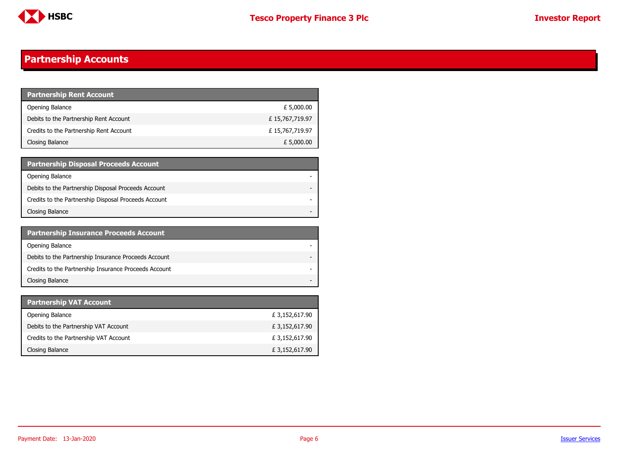

## <span id="page-5-0"></span>**Partnership Accounts**

| <b>Partnership Rent Account</b>         |                |
|-----------------------------------------|----------------|
| Opening Balance                         | £ 5,000.00     |
| Debits to the Partnership Rent Account  | £15,767,719.97 |
| Credits to the Partnership Rent Account | £15,767,719.97 |
| Closing Balance                         | £ 5,000.00     |

| <b>Partnership Disposal Proceeds Account</b>         |  |
|------------------------------------------------------|--|
| Opening Balance                                      |  |
| Debits to the Partnership Disposal Proceeds Account  |  |
| Credits to the Partnership Disposal Proceeds Account |  |
| Closing Balance                                      |  |

| <b>Partnership Insurance Proceeds Account</b>         |  |
|-------------------------------------------------------|--|
| Opening Balance                                       |  |
| Debits to the Partnership Insurance Proceeds Account  |  |
| Credits to the Partnership Insurance Proceeds Account |  |
| Closing Balance                                       |  |

| <b>Partnership VAT Account</b>         |                |
|----------------------------------------|----------------|
| Opening Balance                        | £ 3,152,617.90 |
| Debits to the Partnership VAT Account  | £ 3,152,617.90 |
| Credits to the Partnership VAT Account | £ 3,152,617.90 |
| Closing Balance                        | £ 3,152,617.90 |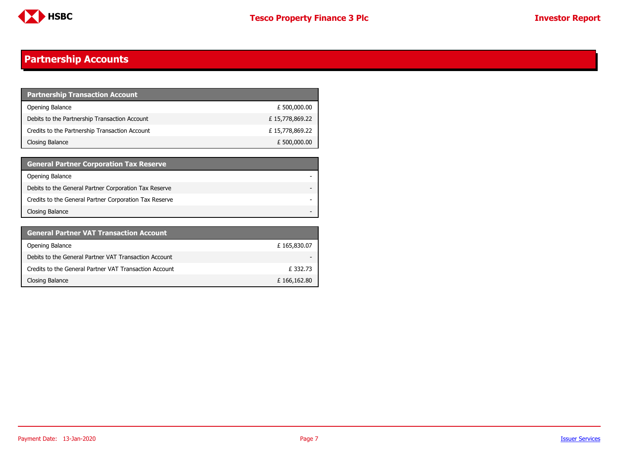

### **Partnership Accounts**

| <b>Partnership Transaction Account</b>         |                |
|------------------------------------------------|----------------|
| Opening Balance                                | £ 500,000.00   |
| Debits to the Partnership Transaction Account  | £15,778,869.22 |
| Credits to the Partnership Transaction Account | £15,778,869.22 |
| Closing Balance                                | £ 500,000.00   |

| <b>General Partner Corporation Tax Reserve</b>         |  |
|--------------------------------------------------------|--|
| Opening Balance                                        |  |
| Debits to the General Partner Corporation Tax Reserve  |  |
| Credits to the General Partner Corporation Tax Reserve |  |
| Closing Balance                                        |  |

| <b>General Partner VAT Transaction Account</b>         |             |
|--------------------------------------------------------|-------------|
| Opening Balance                                        | £165,830.07 |
| Debits to the General Partner VAT Transaction Account  |             |
| Credits to the General Partner VAT Transaction Account | £332.73     |
| Closing Balance                                        | £166,162.80 |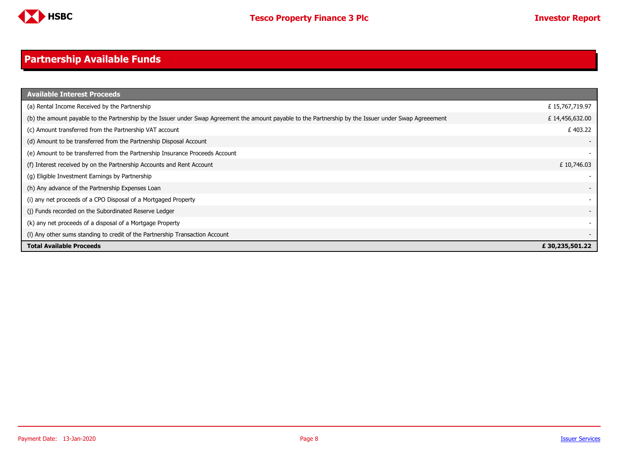

#### <span id="page-7-0"></span>**Partnership Available Funds**

| <b>Available Interest Proceeds</b>                                                                                                                     |                |
|--------------------------------------------------------------------------------------------------------------------------------------------------------|----------------|
| (a) Rental Income Received by the Partnership                                                                                                          | £15,767,719.97 |
| (b) the amount payable to the Partnership by the Issuer under Swap Agreement the amount payable to the Partnership by the Issuer under Swap Agreeement | £14,456,632.00 |
| (c) Amount transferred from the Partnership VAT account                                                                                                | £403.22        |
| (d) Amount to be transferred from the Partnership Disposal Account                                                                                     |                |
| (e) Amount to be transferred from the Partnership Insurance Proceeds Account                                                                           |                |
| (f) Interest received by on the Partnership Accounts and Rent Account                                                                                  | £10,746.03     |
| (g) Eligible Investment Earnings by Partnership                                                                                                        |                |
| (h) Any advance of the Partnership Expenses Loan                                                                                                       |                |
| (i) any net proceeds of a CPO Disposal of a Mortgaged Property                                                                                         |                |
| (i) Funds recorded on the Subordinated Reserve Ledger                                                                                                  |                |
| (k) any net proceeds of a disposal of a Mortgage Property                                                                                              |                |
| (I) Any other sums standing to credit of the Partnership Transaction Account                                                                           |                |
| <b>Total Available Proceeds</b>                                                                                                                        | £30,235,501.22 |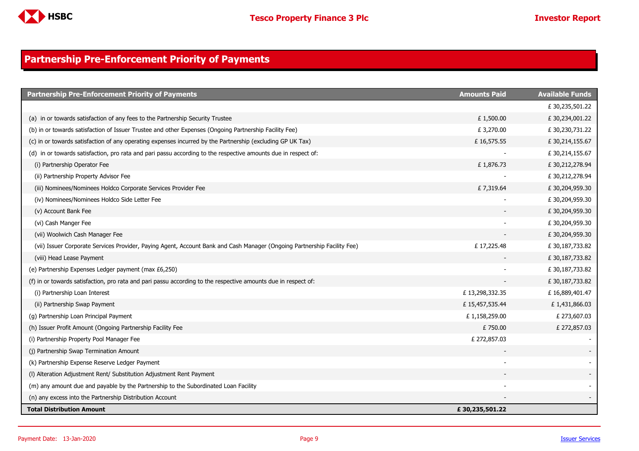

### <span id="page-8-0"></span>**Partnership Pre-Enforcement Priority of Payments**

| <b>Partnership Pre-Enforcement Priority of Payments</b>                                                                  | <b>Amounts Paid</b> | <b>Available Funds</b> |
|--------------------------------------------------------------------------------------------------------------------------|---------------------|------------------------|
|                                                                                                                          |                     | £30,235,501.22         |
| (a) in or towards satisfaction of any fees to the Partnership Security Trustee                                           | £1,500.00           | £30,234,001.22         |
| (b) in or towards satisfaction of Issuer Trustee and other Expenses (Ongoing Partnership Facility Fee)                   | £ 3,270.00          | £30,230,731.22         |
| (c) in or towards satisfaction of any operating expenses incurred by the Partnership (excluding GP UK Tax)               | £16,575.55          | £ 30,214,155.67        |
| (d) in or towards satisfaction, pro rata and pari passu according to the respective amounts due in respect of:           |                     | £30,214,155.67         |
| (i) Partnership Operator Fee                                                                                             | £1,876.73           | £ 30,212,278.94        |
| (ii) Partnership Property Advisor Fee                                                                                    |                     | £30,212,278.94         |
| (iii) Nominees/Nominees Holdco Corporate Services Provider Fee                                                           | £7,319.64           | £30,204,959.30         |
| (iv) Nominees/Nominees Holdco Side Letter Fee                                                                            |                     | £ 30,204,959.30        |
| (v) Account Bank Fee                                                                                                     |                     | £30,204,959.30         |
| (vi) Cash Manger Fee                                                                                                     |                     | £30,204,959.30         |
| (vii) Woolwich Cash Manager Fee                                                                                          |                     | £30,204,959.30         |
| (vii) Issuer Corporate Services Provider, Paying Agent, Account Bank and Cash Manager (Ongoing Partnership Facility Fee) | £17,225.48          | £30,187,733.82         |
| (viii) Head Lease Payment                                                                                                |                     | £30,187,733.82         |
| (e) Partnership Expenses Ledger payment (max £6,250)                                                                     |                     | £30,187,733.82         |
| (f) in or towards satisfaction, pro rata and pari passu according to the respective amounts due in respect of:           |                     | £30,187,733.82         |
| (i) Partnership Loan Interest                                                                                            | £13,298,332.35      | £16,889,401.47         |
| (ii) Partnership Swap Payment                                                                                            | £15,457,535.44      | £1,431,866.03          |
| (g) Partnership Loan Principal Payment                                                                                   | £1,158,259.00       | £ 273,607.03           |
| (h) Issuer Profit Amount (Ongoing Partnership Facility Fee                                                               | £750.00             | £ 272,857.03           |
| (i) Partnership Property Pool Manager Fee                                                                                | £ 272,857.03        |                        |
| (j) Partnership Swap Termination Amount                                                                                  |                     |                        |
| (k) Partnership Expense Reserve Ledger Payment                                                                           |                     |                        |
| (I) Alteration Adjustment Rent/ Substitution Adjustment Rent Payment                                                     |                     |                        |
| (m) any amount due and payable by the Partnership to the Subordinated Loan Facility                                      |                     |                        |
| (n) any excess into the Partnership Distribution Account                                                                 |                     |                        |
| Total Distribution Amount                                                                                                | £30,235,501.22      |                        |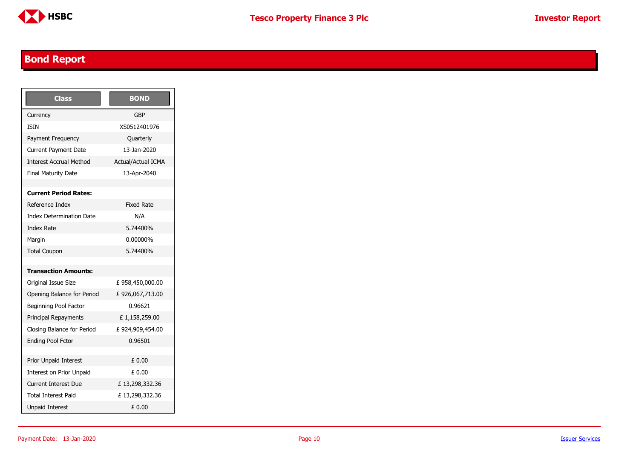

## <span id="page-9-0"></span>**Bond Report**

| <b>Class</b>                    | <b>BOND</b>               |
|---------------------------------|---------------------------|
| Currency                        | GBP                       |
| <b>TSTN</b>                     | XS0512401976              |
| Payment Frequency               | Quarterly                 |
| <b>Current Payment Date</b>     | 13-1an-2020               |
| <b>Interest Accrual Method</b>  | <b>Actual/Actual ICMA</b> |
| <b>Final Maturity Date</b>      | 13-Apr-2040               |
|                                 |                           |
| <b>Current Period Rates:</b>    |                           |
| Reference Index                 | <b>Fixed Rate</b>         |
| <b>Index Determination Date</b> | N/A                       |
| <b>Index Rate</b>               | 5.74400%                  |
| Margin                          | 0.00000%                  |
| <b>Total Coupon</b>             | 5.74400%                  |
|                                 |                           |
| <b>Transaction Amounts:</b>     |                           |
| Original Issue Size             | £958,450,000.00           |
| Opening Balance for Period      | £926,067,713.00           |
| Beginning Pool Factor           | 0.96621                   |
| Principal Repayments            | £1,158,259.00             |
| Closing Balance for Period      | £924,909,454.00           |
| <b>Ending Pool Fctor</b>        | 0.96501                   |
|                                 |                           |
| <b>Prior Unpaid Interest</b>    | £ 0.00                    |
| Interest on Prior Unpaid        | £ 0.00                    |
| <b>Current Interest Due</b>     | £13,298,332.36            |
| Total Interest Paid             | £13,298,332.36            |
| <b>Unpaid Interest</b>          | £ 0.00                    |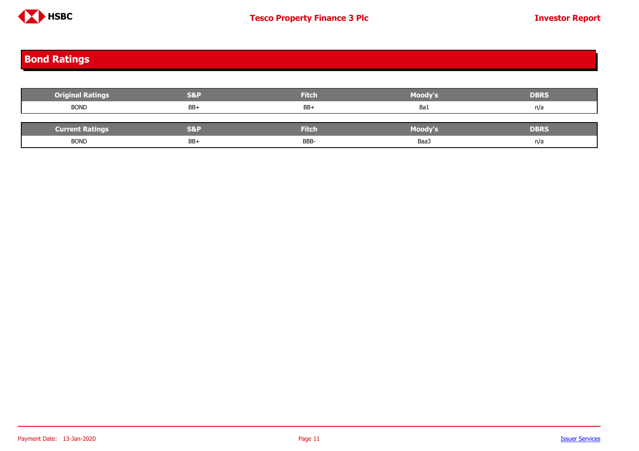

## <span id="page-10-0"></span>**Bond Ratings**

| <b>Original Ratings</b> | <b>S&amp;P</b> | <b>Fitch</b> | Moody's        | <b>DBRS</b> |
|-------------------------|----------------|--------------|----------------|-------------|
| <b>BOND</b>             | BB+            | $BB+$        | Ba1            | n/a         |
|                         |                |              |                |             |
| <b>Current Ratings</b>  | <b>S&amp;P</b> | <b>Fitch</b> | <b>Moody's</b> | <b>DBRS</b> |
| <b>BOND</b>             | BB+            | BBB-         | Baa3           | n/a         |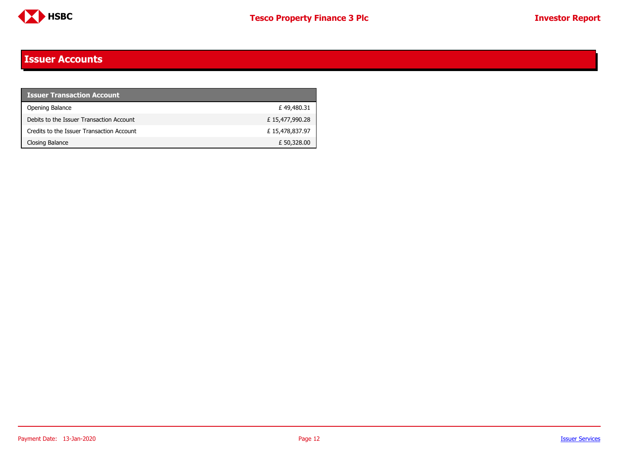

### <span id="page-11-0"></span>**Issuer Accounts**

| <b>Issuer Transaction Account</b>         |                |
|-------------------------------------------|----------------|
| Opening Balance                           | £49,480.31     |
| Debits to the Issuer Transaction Account  | £15,477,990.28 |
| Credits to the Issuer Transaction Account | £15,478,837.97 |
| Closing Balance                           | £ 50,328.00    |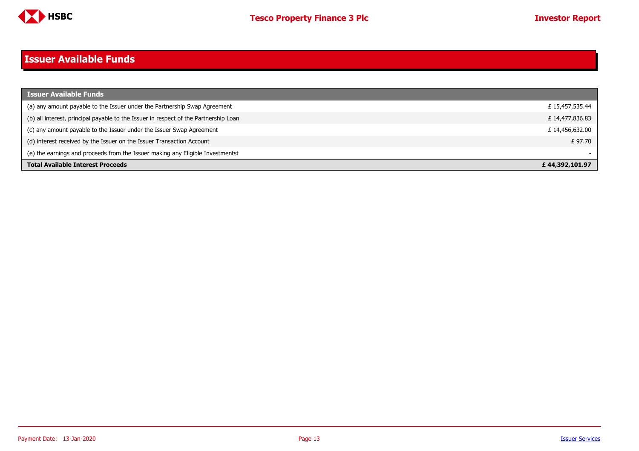

# <span id="page-12-0"></span>**Issuer Available Funds**

| Issuer Available Funds                                                               |                 |
|--------------------------------------------------------------------------------------|-----------------|
| (a) any amount payable to the Issuer under the Partnership Swap Agreement            | £ 15,457,535.44 |
| (b) all interest, principal payable to the Issuer in respect of the Partnership Loan | £14,477,836.83  |
| (c) any amount payable to the Issuer under the Issuer Swap Agreement                 | £14,456,632.00  |
| (d) interest received by the Issuer on the Issuer Transaction Account                | £ 97.70         |
| (e) the earnings and proceeds from the Issuer making any Eligible Investmentst       |                 |
| <b>Total Available Interest Proceeds</b>                                             | £44,392,101.97  |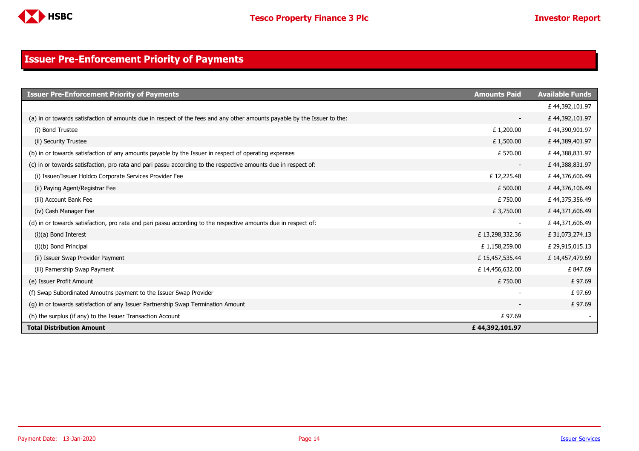

### <span id="page-13-0"></span>**Issuer Pre-Enforcement Priority of Payments**

| <b>Issuer Pre-Enforcement Priority of Payments</b>                                                                       | <b>Amounts Paid</b>      | <b>Available Funds</b> |
|--------------------------------------------------------------------------------------------------------------------------|--------------------------|------------------------|
|                                                                                                                          |                          | £44,392,101.97         |
| (a) in or towards satisfaction of amounts due in respect of the fees and any other amounts payable by the Issuer to the: | $\overline{\phantom{a}}$ | £44,392,101.97         |
| (i) Bond Trustee                                                                                                         | £1,200.00                | £44,390,901.97         |
| (ii) Security Trustee                                                                                                    | £1,500.00                | £44,389,401.97         |
| (b) in or towards satisfaction of any amounts payable by the Issuer in respect of operating expenses                     | £ 570.00                 | £44,388,831.97         |
| (c) in or towards satisfaction, pro rata and pari passu according to the respective amounts due in respect of:           | $\overline{\phantom{a}}$ | £44,388,831.97         |
| (i) Issuer/Issuer Holdco Corporate Services Provider Fee                                                                 | £12,225.48               | £44,376,606.49         |
| (ii) Paying Agent/Registrar Fee                                                                                          | £ 500.00                 | £44,376,106.49         |
| (iii) Account Bank Fee                                                                                                   | £750.00                  | £44,375,356.49         |
| (iv) Cash Manager Fee                                                                                                    | £3,750.00                | £44,371,606.49         |
| (d) in or towards satisfaction, pro rata and pari passu according to the respective amounts due in respect of:           |                          | £44,371,606.49         |
| (i)(a) Bond Interest                                                                                                     | £13,298,332.36           | £31,073,274.13         |
| (i)(b) Bond Principal                                                                                                    | £1,158,259.00            | £ 29,915,015.13        |
| (ii) Issuer Swap Provider Payment                                                                                        | £15,457,535.44           | £14,457,479.69         |
| (iii) Parnership Swap Payment                                                                                            | £14,456,632.00           | £847.69                |
| (e) Issuer Profit Amount                                                                                                 | £750.00                  | £97.69                 |
| (f) Swap Subordinated Amoutns payment to the Issuer Swap Provider                                                        |                          | £97.69                 |
| (q) in or towards satisfaction of any Issuer Partnership Swap Termination Amount                                         |                          | £97.69                 |
| (h) the surplus (if any) to the Issuer Transaction Account                                                               | £97.69                   |                        |
| <b>Total Distribution Amount</b>                                                                                         | £44,392,101.97           |                        |